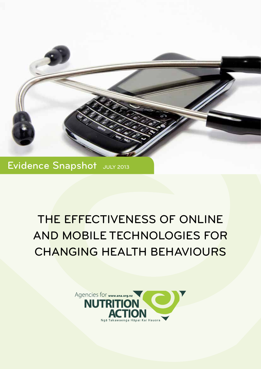

Evidence Snapshot JULY 2013

# THE EFFECTIVENESS OF ONLINE AND MOBILE TECHNOLOGIES FOR CHANGING HEALTH BEHAVIOURS

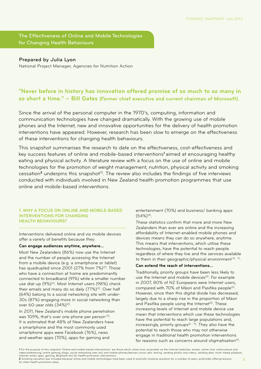The Effectiveness of Online and Mobile Technologies for Changing Health Behaviours

Prepared by Julia Lyon National Project Manager, Agencies for Nutrition Action

## **"Never before in history has innovation offered promise of so much to so many in so short a time." – Bill Gates (Former chief executive and current chairman of Microsoft).**

Since the arrival of the personal computer in the 1970's, computing, information and communication technologies have changed dramatically. With the growing use of mobile phones and the Internet, new and innovative opportunities for the delivery of health promotion interventions have appeared. However, research has been slow to emerge on the effectiveness of these interventions for changing health behaviours.

This snapshot summarises the research to date on the effectiveness, cost-effectiveness and key success features of online and mobile-based interventions**<sup>1</sup>**aimed at encouraging healthy eating and physical activity. A literature review with a focus on the use of online and mobile technologies for the promotion of weight management, nutrition, physical activity and smoking cessation<sup>2</sup> underpins this snapshot<sup>(1)</sup>. The review also includes the findings of five interviews conducted with individuals involved in New Zealand health promotion programmes that use online and mobile-based interventions.

## **1. WHY A FOCUS ON ONLINE AND MOBILE-BASED INTERVENTIONS FOR CHANGING HEALTH BEHAVIOURS?**

Interventions delivered online and via mobile devices offer a variety of benefits because they:

#### **Can engage audiences anytime, anywhere…**

Most New Zealanders (86%) now use the Internet and the number of people accessing the Internet from a mobile device (e.g. a smartphone or tablet) has quadrupled since 2001 (27% from 7%)<sup>(2)</sup>. Those who have a connection at home are predominantly connected to broadband (91%) while a smaller number use dial-up (9%)<sup>(2)</sup>. Most Internet users (98%) check their emails and many do so daily (77%)<sup>(2)</sup>. Over half (64%) belong to a social networking site with under-30s (87%) engaging more in social networking than over 60-year olds (34%)(2).

In 2011, New Zealand's mobile phone penetration was 109%, that's over one phone per person<sup>(3)</sup>. It is estimated that 48% of New Zealanders have a smartphone and the most commonly used smartphone apps were Facebook (76%), news and weather apps (70%), apps for gaming and

entertainment (70%) and business/ banking apps  $(54\%)^{(4)}$ .

These statistics confirm that more and more New Zealanders than ever are online and the increasing affordability of Internet-enabled mobile phones and devices means they can do so anywhere, anytime. This means that interventions, which utilise these technologies, have the potential to reach people regardless of where they live and the services available to them in their geographic/physical environment  $(5 - 7)$ .

## **Can extend the reach of interventions…**

Traditionally, priority groups have been less likely to use the Internet and mobile devices<sup>(2)</sup>. For example in 2007, 80% of NZ Europeans were Internet users, compared with 70% of Māori and Pasifika people<sup>(2)</sup>. However, since then this digital divide has decreased, largely due to a sharp rise in the proportion of Māori and Pasifika people using the Internet<sup>(2)</sup>. These increasing levels of Internet and mobile device use mean that interventions which use these technologies have the potential to reach large populations and, increasingly, priority groups<sup> $(6 - 11)$ </sup>. They also have the potential to reach those who may not otherwise engage in traditional health promotion interventions for reasons such as concerns around stigmatisation<sup>(5)</sup>.

**<sup>1</sup>** For the purpose of this snapshot 'Online and mobile-based interventions' are those which utilise tools accessible via the Internet (websites, emails, online chat, online phone and videoconferencing, online gaming, blogs, social networking sites etc) and mobile phones/devices (voice calls, texting, sending photos and videos, sending data, multi-media playback,<br>internet, email, apps, gaming, Bluetooth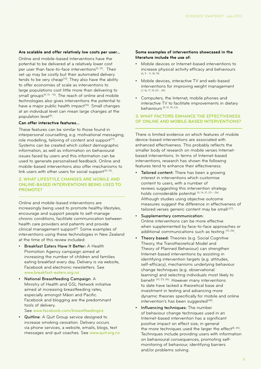#### **Are scalable and offer relatively low costs per user…**

Online and mobile-based interventions have the potential to be delivered at a relatively lower cost per user than face-to-face interventions<sup>(5, 12)</sup>. Their set up may be costly but their automated delivery tends to be very cheap<sup>(13)</sup>. They also have the ability to offer economies of scale as interventions to large populations cost little more than delivering to small groups $(9, 13 - 15)$ . The reach of online and mobile technologies also gives interventions the potential to have a major public health impact<sup>(16)</sup>. Small changes at an individual level can mean large changes at the population level<sup>(6)</sup>.

## **Can offer interactive features…**

These features can be similar to those found in interpersonal counselling, e.g. motivational messaging, role modelling, tailoring of content and support<sup>(17)</sup>. Systems can be created which collect demographic information, as well as information on behavioural issues faced by users and this information can be used to generate personalised feedback. Online and mobile-based interventions also offer mechanisms to link users with other users for social support<sup>(10, 15)</sup>.

## **2. WHAT LIFESTYLE CHANGES ARE MOBILE AND ONLINE-BASED INTERVENTIONS BEING USED TO PROMOTE?**

Online and mobile-based interventions are increasingly being used to promote healthy lifestyles, encourage and support people to self-manage chronic conditions, facilitate communication between health care providers and patients and provide clinical management support<sup>(1).</sup> Some examples of interventions using these technologies in New Zealand at the time of this review included:

- Breakfast Eaters Have It Better: A Health Promotion Agency campaign aimed at increasing the number of children and families eating breakfast every day. Delivery is via website, Facebook and electronic newsletters. See www.breakfast-eaters.org.nz
- National Breastfeeding Campaign: A Ministry of Health and GSL Network initiative aimed at increasing breastfeeding rates, especially amongst Māori and Pacific. Facebook and blogging are the predominant tools of delivery.

See www.facebook.com/breastfeedingnz

• Quitline: A Quit Group service designed to increase smoking cessation. Delivery occurs via phone services, a website, emails, blogs, text messages and quit coaches. See www.quit.org.nz

## **Some examples of interventions showcased in the literature include the use of:**

- Mobile devices or Internet-based interventions to increase physical activity efficacy and behaviours (6, 9 - 11, 18, 19).
- Mobile devices, interactive TV and web-based interventions for improving weight management (7, 16, 17, 19, 20 - 24).
- Computers, the Internet, mobile phones and interactive TV to facilitate improvements in dietary behaviours (9, 12, 19, 23).

## **3. WHAT FACTORS ENHANCE THE EFFECTIVENESS OF ONLINE AND MOBILE-BASED INTERVENTIONS?**

There is limited evidence on which features of mobile device-based interventions are associated with enhanced effectiveness. This probably reflects the smaller body of research on mobile verses Internetbased interventions. In terms of Internet-based interventions, research has shown the following features tend to enhance their effectiveness:

- Tailored content: There has been a growing interest in interventions which customise content to users, with a number of reviews suggesting this intervention strategy holds considerable potential (5, 14, 21, 23 - 26). Although studies using objective outcome measures suggest the difference in effectiveness of tailored verses generic content may be small (27).
- Supplementary communication: Online interventions can be more effective when supplemented by face-to-face approaches or additional communications such as texting (10, 26).
- Theory based: Theories (e.g. Social Cognitive Theory, the Transtheoretical Model and Theory of Planned Behaviour) can strengthen Internet-based interventions by assisting in identifying intervention targets (e.g. attitudes, self-efficacy), mechanisms underlying behaviour change techniques (e.g. observational learning) and selecting individuals most likely to benefit (10, 23, 26). However many interventions to date have lacked a theoretical base and investment in testing and advancing more dynamic theories specifically for mobile and online intervention's has been suggested<sup>(28)</sup>.
- Influencing techniques: The number of behaviour change techniques used in an Internet-based intervention has a significant positive impact on effect size; in general the more techniques used the larger the effect $(8, 26)$ . Techniques include providing users with information on behavioural consequences, promoting selfmonitoring of behaviour, identifying barriers and/or problems solving.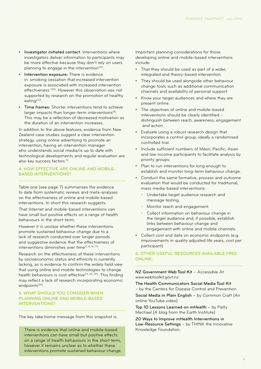- • Investigator initiated contact: Interventions where investigators deliver information to participants may be more effective because they don't rely on users planning to engage in the intervention<sup>(10)</sup>.
- Intervention exposure: There is evidence in smoking cessation that increased intervention exposure is associated with increased intervention effectiveness (25). However this observation was not supported by research on the promotion of healthy eating(23).
- Time frames: Shorter interventions tend to achieve larger impacts than longer-term interventions<sup>(8)</sup>. This may be a reflection of decreased motivation as the duration of an intervention increases.

In addition to the above features, evidence from New Zealand case studies suggest a clear intervention strategy, using online advertising to promote an intervention, having an intervention manager who understands social media/is up to date with technological developments and regular evaluation are also key success factors (1).

## **4. HOW EFFECTIVE ARE ONLINE AND MOBILE-BASED INTERVENTIONS?**

Table one (see page 7) summarises the evidence to date from systematic reviews and meta-analyses on the effectiveness of online and mobile-based interventions. In short this research suggests:

That Internet and mobile-based interventions can have small but positive effects on a range of health behaviours in the short-term.

However it is unclear whether these interventions promote sustained behaviour change due to a lack of research conducted over longer periods and suggestive evidence that the effectiveness of interventions diminishes over time(7, 8, 16, 17).

Research on the effectiveness of these interventions by socioeconomic status and ethnicity is currently lacking, as is evidence to confirm the widely held view that using online and mobile technologies to change health behaviours is cost-effective<sup>(13, 20, 30)</sup>. This finding may reflect a lack of research incorporating economic endpoints<sup>(30)</sup>.

## **5. WHAT SHOULD YOU CONSIDER WHEN PLANNING ONLINE AND MOBILE-BASED INTERVENTIONS?**

The key take home message from this snapshot is:

There is evidence that online and mobile-based interventions can have small but positive effects on a range of health behaviours in the short term, however it remains unclear as to whether these interventions promote sustained behaviour change. Important planning considerations for those developing online and mobile-based interventions include:

- That they should be used as part of a wider, integrated and theory-based intervention.
- They should be used alongside other behaviour change tools such as additional communication channels and availability of personal support.
- Know your target audiences and where they are present online.
- The objectives of online and mobile-based interventions should be clearly identified – distinguish between reach, awareness, engagement and action.
- • Evaluate using a robust research design that incorporates a control group, ideally a randomised controlled trial.
- • Include sufficient numbers of Māori, Pacific, Asian and low-income participants to facilitate analysis by priority groups.
- • Plan to run interventions for long enough to establish and monitor long-term behaviour change.
- • Conduct the same formative, process and outcome evaluation that would be conducted for traditional, mass media-based interventions:
	- Undertake target audience research and message testing.
	- Monitor reach and engagement.
	- Collect information on behaviour change in the target audience and, if possible, establish links between behaviour change and engagement with online and mobile channels.
- Collect cost and data on economic endpoints (e.g. improvements in quality adjusted life years, cost per participant).

## **6. OTHER USEFUL RESOURCES AVAILABLE FREE ONLINE:**

NZ Government Web Tool Kit – Accessible At www.webtoolkit.govt.nz

The Health Communicators Social Media Tool Kit – by the Centers for Disease Control and Prevention Social Media in Plain English – by Common Craft [An online YouTube video]

Top 10 Lessons Learned on mHealth – by Patty Mechael [A blog from the Earth Institute]

20 Ways to Improve mHealth Interventions in Low-Resource Settings – by THINK the Innovative Knowledge Foundation.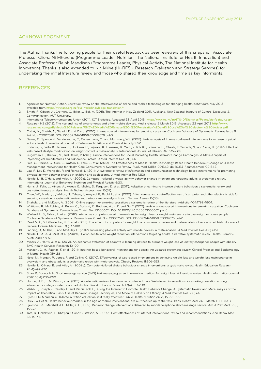## ACKNOWLEDGEMENT

The Author thanks the following people for their useful feedback as peer reviewers of this snapshot: Associate Professor Cliona Ni Mhurchu (Programme Leader, Nutrition, The National Institute for Health Innovation) and Associate Professor Ralph Maddison (Programme Leader, Physical Activity, The National Institute for Health Innovation). Thanks is also extended to Kiri Milne (Hi-RES - Research Evaluation and Strategy Services) for undertaking the initial literature review and those who shared their knowledge and time as key informants.

## **REFERENCES**

- 1. Agencies for Nutrition Action. Literature review on the effectiveness of online and mobile technologies for changing health behaviours. May 2013 available from http://www.ana.org.nz/our-work/knowledge-translation#.
- 2. Smith, P., Gibson, A., Crothers, C., Billot, J., Bell, A. (2011). The Internet in New Zealand 2011. Auckland, New Zealand: Institute of Culture, Discourse & Communication, AUT University.

- researchnz.com/pdf/Media%20Releases/RNZ%20Media%20Release%20-%20Penetration%20and%20use%20of%20electronic%20devices.pdf
- 5. Civljak, M., Sheikh, A., Stead, LF, and Car J. (2010). Internet-based interventions for smoking cessation. Cochrane Database of Systematic Reviews Issue 9. Art. No.: CD007078. DOI: 10.1002/14651858.CD007078.pub3.
- 6. Davies, C., Spence, J., Vandelanotte, C., Caperchione, C., and Mummery, WK. (2012). Meta-analysis of Internet-delivered interventions to increase physical activity levels. International Journal of Behavioral Nutrition and Physical Activity 9:52.
- 7. Kodama, S., Saito, K., Tanaka, S., Horikawa, C., Fujiwara, K., Hirasawa, R., Yachi, Y., Iida KT., Shimano, H., Ohashi, Y., Yamada, N., and Sone, H. (2012). Effect of web-based lifestyle modification on weight control: a meta-analysis. International Journal of Obesity 36: 675-685.
- 8. Cugelman, B., Thelwall, M., and Dawes, P. (2011). Online Interventions for Social Marketing Health Behavior Change Campaigns: A Meta-Analysis of Psychological Architectures and Adherence Factors. J Med Internet Res 13(1):e17.
- 9. Free, C., Phillips, G., Galli, L., Watson, L., Felix, L., et al. (2013) The Effectiveness of Mobile-Health Technology-Based Health Behaviour Change or Disease Management Interventions for Health Care Consumers: A Systematic Review. PLoS Med 10(1):e1001362. doi:10.1371/journal.pmed.1001362.
- 10. Lau, P., Lau E., Wong del, P. and Ransdell, L. (2011). A systematic review of information and communication technology-based interventions for promoting physical activity behavior change in children and adolescents. J Med Internet Res 13(3).
- 11. Neville, L., B. O'Hara, and Milat, A. (2009a). Computer-tailored physical activity behavior change interventions targeting adults: a systematic review. International Journal of Behavioral Nutrition and Physical Activity 6:30.
- 12. Harris, J., Felix, L., Miners, A., Murray, E., Michie, S., Ferguson, E. et al. (2011). Adaptive e-learning to improve dietary behaviour: a systematic review and cost-effectiveness analysis. Health Technol Assessment 15(37).
- 13. Chen, Y-F., Madan, J., Welton, N., Yahaya, I., Aveyard, P., Bauld, L, et al. (2012). Effectiveness and cost-effectiveness of computer and other electronic aids for smoking cessation: a systematic review and network meta-analysis. Health Technol Assess 16(38).
- 14. Shahab, L. and McEwen, A. (2009). Online support for smoking cessation: a systematic review of the literature. Addiction104:1792–1804.
- 15. Whittaker, R., McRobbie, H., Bullen, C., Borland, R., Rodgers, A., K. E. and Gu, Y. (2012). Mobile phone-based interventions for smoking cessation. Cochrane Database of Systematic Reviews Issue 11. Art. No.: CD006611. DOI: 10.1002/14651858.CD006611.pub3.
- 16. Wieland, L. S., Falzon, L. et al. (2012). Interactive computer-based interventions for weight loss or weight maintenance in overweight or obese people. Cochrane Database of Systematic Reviews Issue 8. Art. No.: CD007675. DOI: 10.1002/14651858.CD007675.pub2.
- 17. Reed, V. A., Schifferdecker, K. E. et al. (2012). The effect of computers for weight loss: a systematic review and meta-analysis of randomized trials. Journal of General Internal Medicine 27(1):99-108.
- 18. Fanning, J., Mullen, S, and McAuley, E. (2012). Increasing physical activity with mobile devices: a meta-analysis. J Med Internet Res14(6):e161.
- 19. Neville, L. M., A. J. Milat, et al. (2009c). Computer-tailored weight reduction interventions targeting adults: a narrative systematic review. Health Promot J Austr 20(1):48-57.
- 20. Miners, A., Harris, J. et al. (2012). An economic evaluation of adaptive e-learning devices to promote weight loss via dietary change for people with obesity. BMC Health Services Research 12:190.
- 21. Manzoni, G. M., Pagnini, F. et al. (2011). Internet-based behavioral interventions for obesity: An updated systematic review. Clinical Practice and Epidemiology in Mental Health 7:19-28
- 22. Neve, M., Morgan, P., Jones, P. and Collins, C. (2010). Effectiveness of web-based interventions in achieving weight loss and weight loss maintenance in overweight and obese adults: a systematic review with meta-analysis. Obesity Reviews 11:306-321.
- 23. Neville, L., O'Hara, B. and Milat, A. (2009b). Computer-tailored dietary behaviour change interventions: a systematic review. Health Education Research 24(4):699-720.
- 24. Shaw R, Bosworth H. Short message service (SMS) text messaging as an intervention medium for weight loss: A literature review. Health Informatics Journal 2012; 18(4):235-250
- 25. Hutton, H. E., L. M. Wilson, et al. (2011). A systematic review of randomized controlled trials: Web-based interventions for smoking cessation among adolescents, college students, and adults. Nicotine & Tobacco Research 13(4):227-238.
- 26. Webb, T., Joseph, J., Yardley, L. and Michie. (2010). Using the Internet to Promote Health Behavior Change: A Systematic Review and Meta-analysis of the Impact of Theoretical Basis, Use of Behavior Change Techniques, and Mode of Delivery on Efficacy. J Med Internet Res 12(1):e4.
- 27. Eyles H, Ni Mhurchu C. Tailored nutrition education: is it really effective? Public Health Nutrition 2012; 15: 561-566.
- 28. Riley , WT et al. Health behaviour models in the age of mobile interventions: are our theories up to the task. Transl Behav Med. 2011 March 1; 1(1): 53–71.
- 29. Fjeldsoe, B.S., Marshall, A.L., Miller, Y.D. (2009). Behavior change interventions delivered by mobile telephone short-message service. Am J Prev Med 36(2): 165-73.
- 30. Tate, D., Finkelstein, E., Khavjou, O. and Gustafson, A. (2009). Cost effectiveness of Internet interventions: review and recommendations. Ann Behav Med 38:40-45.

<sup>3.</sup> International Telecommunications Union (2011). ICT Statistics. Accessed 23 April 2013 http://www.itu.int/en/ITU-D/Statistics/Pages/stat/default.aspx 4. Research NZ (2013). The rise and rise of smartphones and other mobile devices. Media release 5 March 2013. Accessed 23 April 2013 http://www.